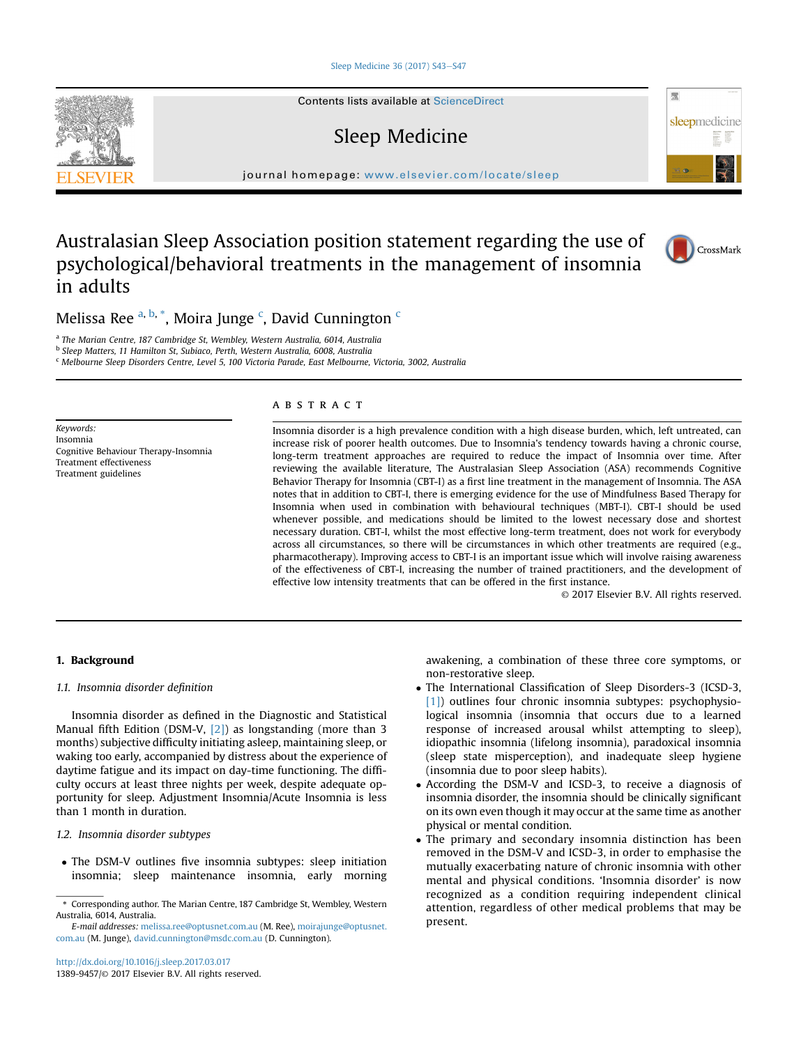#### [Sleep Medicine 36 \(2017\) S43](http://dx.doi.org/10.1016/j.sleep.2017.03.017)-[S47](http://dx.doi.org/10.1016/j.sleep.2017.03.017)

Contents lists available at [ScienceDirect](www.sciencedirect.com/science/journal/13899457)

# Sleep Medicine

journal homepage: <www.elsevier.com/locate/sleep>

# Australasian Sleep Association position statement regarding the use of psychological/behavioral treatments in the management of insomnia in adults



sleepmedicine

骤

Melissa Ree <sup>a, b,</sup> \*, Moira Junge <sup>c</sup>, David Cunnington <sup>c</sup>

<sup>a</sup> The Marian Centre, 187 Cambridge St, Wembley, Western Australia, 6014, Australia

<sup>b</sup> Sleep Matters, 11 Hamilton St, Subiaco, Perth, Western Australia, 6008, Australia

<sup>c</sup> Melbourne Sleep Disorders Centre, Level 5, 100 Victoria Parade, East Melbourne, Victoria, 3002, Australia

Keywords: Insomnia Cognitive Behaviour Therapy-Insomnia Treatment effectiveness Treatment guidelines

## **ABSTRACT**

Insomnia disorder is a high prevalence condition with a high disease burden, which, left untreated, can increase risk of poorer health outcomes. Due to Insomnia's tendency towards having a chronic course, long-term treatment approaches are required to reduce the impact of Insomnia over time. After reviewing the available literature, The Australasian Sleep Association (ASA) recommends Cognitive Behavior Therapy for Insomnia (CBT-I) as a first line treatment in the management of Insomnia. The ASA notes that in addition to CBT-I, there is emerging evidence for the use of Mindfulness Based Therapy for Insomnia when used in combination with behavioural techniques (MBT-I). CBT-I should be used whenever possible, and medications should be limited to the lowest necessary dose and shortest necessary duration. CBT-I, whilst the most effective long-term treatment, does not work for everybody across all circumstances, so there will be circumstances in which other treatments are required (e.g., pharmacotherapy). Improving access to CBT-I is an important issue which will involve raising awareness of the effectiveness of CBT-I, increasing the number of trained practitioners, and the development of effective low intensity treatments that can be offered in the first instance.

© 2017 Elsevier B.V. All rights reserved.

## 1. Background

# 1.1. Insomnia disorder definition

Insomnia disorder as defined in the Diagnostic and Statistical Manual fifth Edition (DSM-V, [\[2\]](#page-3-0)) as longstanding (more than 3 months) subjective difficulty initiating asleep, maintaining sleep, or waking too early, accompanied by distress about the experience of daytime fatigue and its impact on day-time functioning. The difficulty occurs at least three nights per week, despite adequate opportunity for sleep. Adjustment Insomnia/Acute Insomnia is less than 1 month in duration.

## 1.2. Insomnia disorder subtypes

 The DSM-V outlines five insomnia subtypes: sleep initiation insomnia; sleep maintenance insomnia, early morning awakening, a combination of these three core symptoms, or non-restorative sleep.

- The International Classification of Sleep Disorders-3 (ICSD-3, [\[1\]](#page-3-0)) outlines four chronic insomnia subtypes: psychophysiological insomnia (insomnia that occurs due to a learned response of increased arousal whilst attempting to sleep), idiopathic insomnia (lifelong insomnia), paradoxical insomnia (sleep state misperception), and inadequate sleep hygiene (insomnia due to poor sleep habits).
- According the DSM-V and ICSD-3, to receive a diagnosis of insomnia disorder, the insomnia should be clinically significant on its own even though it may occur at the same time as another physical or mental condition.
- The primary and secondary insomnia distinction has been removed in the DSM-V and ICSD-3, in order to emphasise the mutually exacerbating nature of chronic insomnia with other mental and physical conditions. 'Insomnia disorder' is now recognized as a condition requiring independent clinical attention, regardless of other medical problems that may be present.



<sup>\*</sup> Corresponding author. The Marian Centre, 187 Cambridge St, Wembley, Western Australia, 6014, Australia.

E-mail addresses: [melissa.ree@optusnet.com.au](mailto:melissa.ree@optusnet.com.au) (M. Ree), [moirajunge@optusnet.](mailto:moirajunge@optusnet.com.au) [com.au](mailto:moirajunge@optusnet.com.au) (M. Junge), [david.cunnington@msdc.com.au](mailto:david.cunnington@msdc.com.au) (D. Cunnington).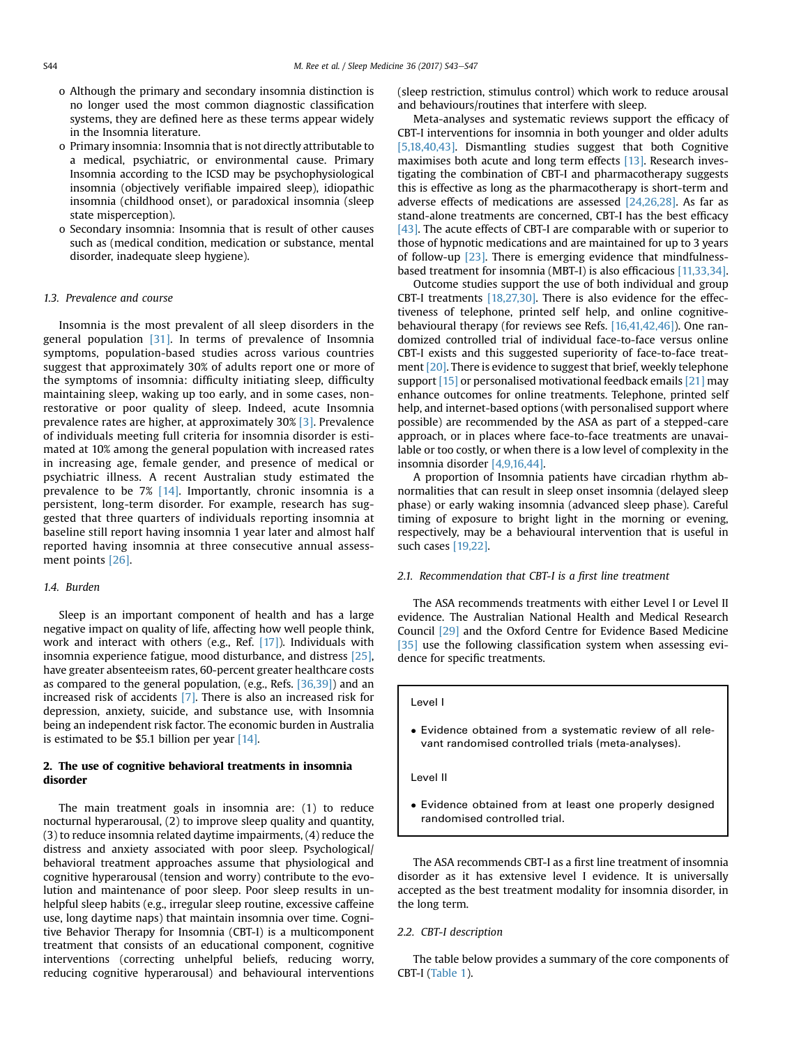- o Although the primary and secondary insomnia distinction is no longer used the most common diagnostic classification systems, they are defined here as these terms appear widely in the Insomnia literature.
- o Primary insomnia: Insomnia that is not directly attributable to a medical, psychiatric, or environmental cause. Primary Insomnia according to the ICSD may be psychophysiological insomnia (objectively verifiable impaired sleep), idiopathic insomnia (childhood onset), or paradoxical insomnia (sleep state misperception).
- o Secondary insomnia: Insomnia that is result of other causes such as (medical condition, medication or substance, mental disorder, inadequate sleep hygiene).

#### 1.3. Prevalence and course

Insomnia is the most prevalent of all sleep disorders in the general population [\[31\]](#page-4-0). In terms of prevalence of Insomnia symptoms, population-based studies across various countries suggest that approximately 30% of adults report one or more of the symptoms of insomnia: difficulty initiating sleep, difficulty maintaining sleep, waking up too early, and in some cases, nonrestorative or poor quality of sleep. Indeed, acute Insomnia prevalence rates are higher, at approximately 30% [\[3\].](#page-3-0) Prevalence of individuals meeting full criteria for insomnia disorder is estimated at 10% among the general population with increased rates in increasing age, female gender, and presence of medical or psychiatric illness. A recent Australian study estimated the prevalence to be 7% [\[14\].](#page-4-0) Importantly, chronic insomnia is a persistent, long-term disorder. For example, research has suggested that three quarters of individuals reporting insomnia at baseline still report having insomnia 1 year later and almost half reported having insomnia at three consecutive annual assessment points [\[26\]](#page-4-0).

## 1.4. Burden

Sleep is an important component of health and has a large negative impact on quality of life, affecting how well people think, work and interact with others (e.g., Ref. [\[17\]\)](#page-4-0). Individuals with insomnia experience fatigue, mood disturbance, and distress [\[25\],](#page-4-0) have greater absenteeism rates, 60-percent greater healthcare costs as compared to the general population, (e.g., Refs. [\[36,39\]](#page-4-0)) and an increased risk of accidents [\[7\]](#page-3-0). There is also an increased risk for depression, anxiety, suicide, and substance use, with Insomnia being an independent risk factor. The economic burden in Australia is estimated to be \$5.1 billion per year [\[14\]](#page-4-0).

# 2. The use of cognitive behavioral treatments in insomnia disorder

The main treatment goals in insomnia are: (1) to reduce nocturnal hyperarousal, (2) to improve sleep quality and quantity, (3) to reduce insomnia related daytime impairments, (4) reduce the distress and anxiety associated with poor sleep. Psychological/ behavioral treatment approaches assume that physiological and cognitive hyperarousal (tension and worry) contribute to the evolution and maintenance of poor sleep. Poor sleep results in unhelpful sleep habits (e.g., irregular sleep routine, excessive caffeine use, long daytime naps) that maintain insomnia over time. Cognitive Behavior Therapy for Insomnia (CBT-I) is a multicomponent treatment that consists of an educational component, cognitive interventions (correcting unhelpful beliefs, reducing worry, reducing cognitive hyperarousal) and behavioural interventions (sleep restriction, stimulus control) which work to reduce arousal and behaviours/routines that interfere with sleep.

Meta-analyses and systematic reviews support the efficacy of CBT-I interventions for insomnia in both younger and older adults [\[5,18,40,43\]](#page-3-0). Dismantling studies suggest that both Cognitive maximises both acute and long term effects [\[13\].](#page-3-0) Research investigating the combination of CBT-I and pharmacotherapy suggests this is effective as long as the pharmacotherapy is short-term and adverse effects of medications are assessed [\[24,26,28\].](#page-4-0) As far as stand-alone treatments are concerned, CBT-I has the best efficacy [\[43\]](#page-4-0). The acute effects of CBT-I are comparable with or superior to those of hypnotic medications and are maintained for up to 3 years of follow-up [\[23\]](#page-4-0). There is emerging evidence that mindfulnessbased treatment for insomnia (MBT-I) is also efficacious [\[11,33,34\].](#page-3-0)

Outcome studies support the use of both individual and group CBT-I treatments [\[18,27,30\].](#page-4-0) There is also evidence for the effectiveness of telephone, printed self help, and online cognitivebehavioural therapy (for reviews see Refs. [\[16,41,42,46\]\)](#page-4-0). One randomized controlled trial of individual face-to-face versus online CBT-I exists and this suggested superiority of face-to-face treat-ment [\[20\].](#page-4-0) There is evidence to suggest that brief, weekly telephone support [\[15\]](#page-4-0) or personalised motivational feedback emails [\[21\]](#page-4-0) may enhance outcomes for online treatments. Telephone, printed self help, and internet-based options (with personalised support where possible) are recommended by the ASA as part of a stepped-care approach, or in places where face-to-face treatments are unavailable or too costly, or when there is a low level of complexity in the insomnia disorder [\[4,9,16,44\]](#page-3-0).

A proportion of Insomnia patients have circadian rhythm abnormalities that can result in sleep onset insomnia (delayed sleep phase) or early waking insomnia (advanced sleep phase). Careful timing of exposure to bright light in the morning or evening, respectively, may be a behavioural intervention that is useful in such cases [\[19,22\]](#page-4-0).

#### 2.1. Recommendation that CBT-I is a first line treatment

The ASA recommends treatments with either Level I or Level II evidence. The Australian National Health and Medical Research Council [\[29\]](#page-4-0) and the Oxford Centre for Evidence Based Medicine [\[35\]](#page-4-0) use the following classification system when assessing evidence for specific treatments.

#### Level I

 Evidence obtained from a systematic review of all relevant randomised controlled trials (meta-analyses).

Level II

 Evidence obtained from at least one properly designed randomised controlled trial.

The ASA recommends CBT-I as a first line treatment of insomnia disorder as it has extensive level I evidence. It is universally accepted as the best treatment modality for insomnia disorder, in the long term.

## 2.2. CBT-I description

The table below provides a summary of the core components of CBT-I [\(Table 1](#page-2-0)).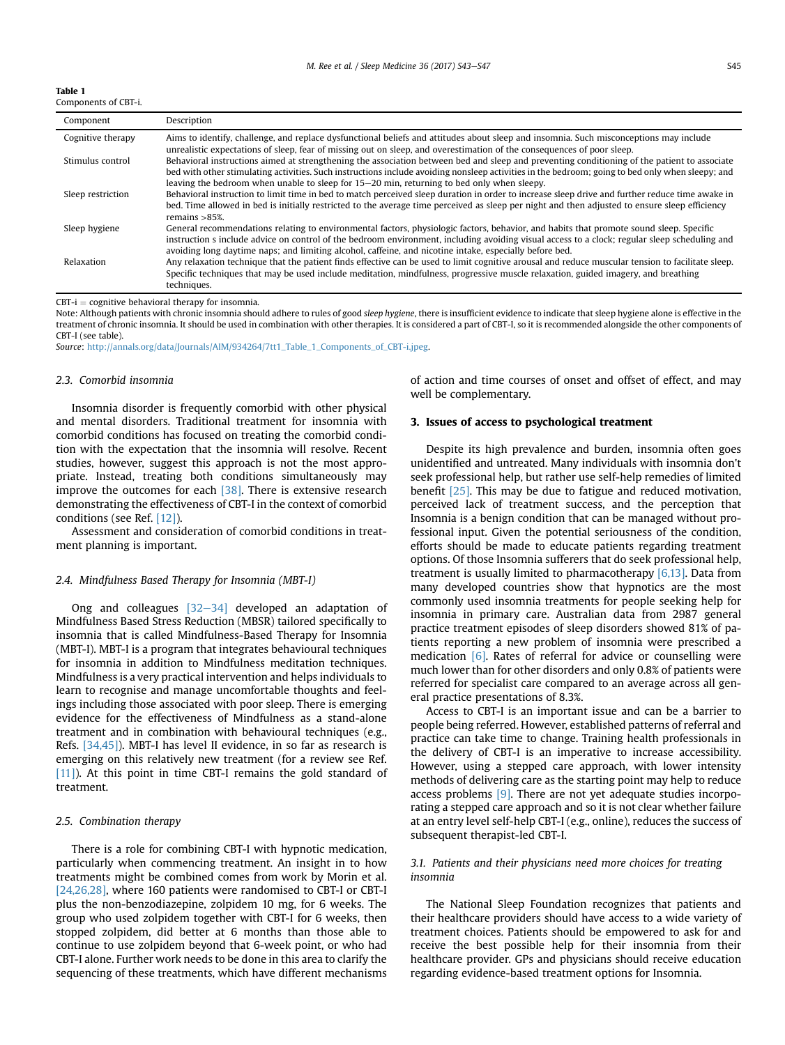<span id="page-2-0"></span>Table 1 Components of CBT-i.

| Component         | Description                                                                                                                                                                                                                                                                                                                                                                                                                |
|-------------------|----------------------------------------------------------------------------------------------------------------------------------------------------------------------------------------------------------------------------------------------------------------------------------------------------------------------------------------------------------------------------------------------------------------------------|
| Cognitive therapy | Aims to identify, challenge, and replace dysfunctional beliefs and attitudes about sleep and insomnia. Such misconceptions may include                                                                                                                                                                                                                                                                                     |
| Stimulus control  | unrealistic expectations of sleep, fear of missing out on sleep, and overestimation of the consequences of poor sleep.<br>Behavioral instructions aimed at strengthening the association between bed and sleep and preventing conditioning of the patient to associate<br>bed with other stimulating activities. Such instructions include avoiding nonsleep activities in the bedroom; going to bed only when sleepy; and |
| Sleep restriction | leaving the bedroom when unable to sleep for 15–20 min, returning to bed only when sleepy.<br>Behavioral instruction to limit time in bed to match perceived sleep duration in order to increase sleep drive and further reduce time awake in<br>bed. Time allowed in bed is initially restricted to the average time perceived as sleep per night and then adjusted to ensure sleep efficiency<br>remains $>85\%$ .       |
| Sleep hygiene     | General recommendations relating to environmental factors, physiologic factors, behavior, and habits that promote sound sleep. Specific<br>instruction s include advice on control of the bedroom environment, including avoiding visual access to a clock; regular sleep scheduling and<br>avoiding long daytime naps; and limiting alcohol, caffeine, and nicotine intake, especially before bed.                        |
| Relaxation        | Any relaxation technique that the patient finds effective can be used to limit cognitive arousal and reduce muscular tension to facilitate sleep.<br>Specific techniques that may be used include meditation, mindfulness, progressive muscle relaxation, guided imagery, and breathing<br>techniques.                                                                                                                     |

 $CBT-i = cognitive$  behavioral therapy for insomnia.

Note: Although patients with chronic insomnia should adhere to rules of good sleep hygiene, there is insufficient evidence to indicate that sleep hygiene alone is effective in the treatment of chronic insomnia. It should be used in combination with other therapies. It is considered a part of CBT-I, so it is recommended alongside the other components of CBT-I (see table).

Source: [http://annals.org/data/Journals/AIM/934264/7tt1\\_Table\\_1\\_Components\\_of\\_CBT-i.jpeg.](http://annals.org/data/Journals/AIM/934264/7tt1_Table_1_Components_of_CBT-i.jpeg)

#### 2.3. Comorbid insomnia

Insomnia disorder is frequently comorbid with other physical and mental disorders. Traditional treatment for insomnia with comorbid conditions has focused on treating the comorbid condition with the expectation that the insomnia will resolve. Recent studies, however, suggest this approach is not the most appropriate. Instead, treating both conditions simultaneously may improve the outcomes for each  $[38]$ . There is extensive research demonstrating the effectiveness of CBT-I in the context of comorbid conditions (see Ref. [\[12\]\)](#page-3-0).

Assessment and consideration of comorbid conditions in treatment planning is important.

#### 2.4. Mindfulness Based Therapy for Insomnia (MBT-I)

Ong and colleagues  $[32-34]$  $[32-34]$  $[32-34]$  developed an adaptation of Mindfulness Based Stress Reduction (MBSR) tailored specifically to insomnia that is called Mindfulness-Based Therapy for Insomnia (MBT-I). MBT-I is a program that integrates behavioural techniques for insomnia in addition to Mindfulness meditation techniques. Mindfulness is a very practical intervention and helps individuals to learn to recognise and manage uncomfortable thoughts and feelings including those associated with poor sleep. There is emerging evidence for the effectiveness of Mindfulness as a stand-alone treatment and in combination with behavioural techniques (e.g., Refs. [\[34,45\]\)](#page-4-0). MBT-I has level II evidence, in so far as research is emerging on this relatively new treatment (for a review see Ref. [\[11\]](#page-3-0)). At this point in time CBT-I remains the gold standard of treatment.

### 2.5. Combination therapy

There is a role for combining CBT-I with hypnotic medication, particularly when commencing treatment. An insight in to how treatments might be combined comes from work by Morin et al. [\[24,26,28\],](#page-4-0) where 160 patients were randomised to CBT-I or CBT-I plus the non-benzodiazepine, zolpidem 10 mg, for 6 weeks. The group who used zolpidem together with CBT-I for 6 weeks, then stopped zolpidem, did better at 6 months than those able to continue to use zolpidem beyond that 6-week point, or who had CBT-I alone. Further work needs to be done in this area to clarify the sequencing of these treatments, which have different mechanisms of action and time courses of onset and offset of effect, and may well be complementary.

#### 3. Issues of access to psychological treatment

Despite its high prevalence and burden, insomnia often goes unidentified and untreated. Many individuals with insomnia don't seek professional help, but rather use self-help remedies of limited benefit [\[25\]](#page-4-0). This may be due to fatigue and reduced motivation, perceived lack of treatment success, and the perception that Insomnia is a benign condition that can be managed without professional input. Given the potential seriousness of the condition, efforts should be made to educate patients regarding treatment options. Of those Insomnia sufferers that do seek professional help, treatment is usually limited to pharmacotherapy [\[6,13\].](#page-3-0) Data from many developed countries show that hypnotics are the most commonly used insomnia treatments for people seeking help for insomnia in primary care. Australian data from 2987 general practice treatment episodes of sleep disorders showed 81% of patients reporting a new problem of insomnia were prescribed a medication [\[6\].](#page-3-0) Rates of referral for advice or counselling were much lower than for other disorders and only 0.8% of patients were referred for specialist care compared to an average across all general practice presentations of 8.3%.

Access to CBT-I is an important issue and can be a barrier to people being referred. However, established patterns of referral and practice can take time to change. Training health professionals in the delivery of CBT-I is an imperative to increase accessibility. However, using a stepped care approach, with lower intensity methods of delivering care as the starting point may help to reduce access problems [\[9\]](#page-3-0). There are not yet adequate studies incorporating a stepped care approach and so it is not clear whether failure at an entry level self-help CBT-I (e.g., online), reduces the success of subsequent therapist-led CBT-I.

## 3.1. Patients and their physicians need more choices for treating insomnia

The National Sleep Foundation recognizes that patients and their healthcare providers should have access to a wide variety of treatment choices. Patients should be empowered to ask for and receive the best possible help for their insomnia from their healthcare provider. GPs and physicians should receive education regarding evidence-based treatment options for Insomnia.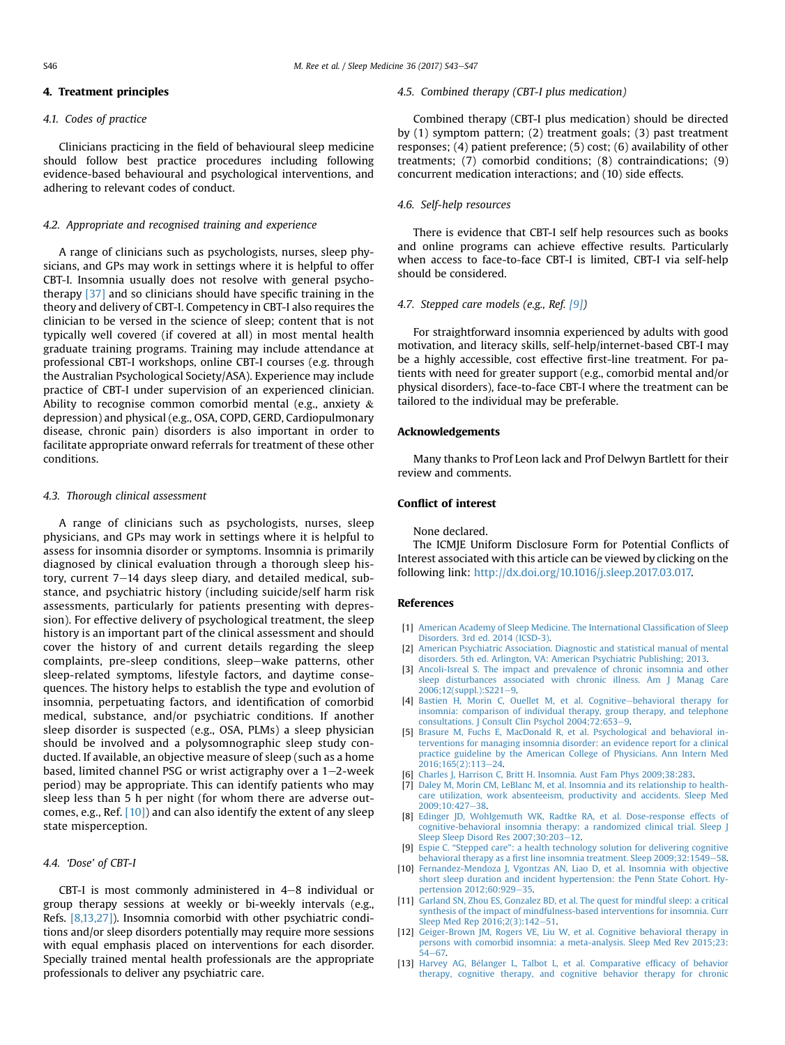## <span id="page-3-0"></span>4. Treatment principles

## 4.1. Codes of practice

Clinicians practicing in the field of behavioural sleep medicine should follow best practice procedures including following evidence-based behavioural and psychological interventions, and adhering to relevant codes of conduct.

#### 4.2. Appropriate and recognised training and experience

A range of clinicians such as psychologists, nurses, sleep physicians, and GPs may work in settings where it is helpful to offer CBT-I. Insomnia usually does not resolve with general psychotherapy [\[37\]](#page-4-0) and so clinicians should have specific training in the theory and delivery of CBT-I. Competency in CBT-I also requires the clinician to be versed in the science of sleep; content that is not typically well covered (if covered at all) in most mental health graduate training programs. Training may include attendance at professional CBT-I workshops, online CBT-I courses (e.g. through the Australian Psychological Society/ASA). Experience may include practice of CBT-I under supervision of an experienced clinician. Ability to recognise common comorbid mental (e.g., anxiety  $\&$ depression) and physical (e.g., OSA, COPD, GERD, Cardiopulmonary disease, chronic pain) disorders is also important in order to facilitate appropriate onward referrals for treatment of these other conditions.

## 4.3. Thorough clinical assessment

A range of clinicians such as psychologists, nurses, sleep physicians, and GPs may work in settings where it is helpful to assess for insomnia disorder or symptoms. Insomnia is primarily diagnosed by clinical evaluation through a thorough sleep history, current 7-14 days sleep diary, and detailed medical, substance, and psychiatric history (including suicide/self harm risk assessments, particularly for patients presenting with depression). For effective delivery of psychological treatment, the sleep history is an important part of the clinical assessment and should cover the history of and current details regarding the sleep complaints, pre-sleep conditions, sleep-wake patterns, other sleep-related symptoms, lifestyle factors, and daytime consequences. The history helps to establish the type and evolution of insomnia, perpetuating factors, and identification of comorbid medical, substance, and/or psychiatric conditions. If another sleep disorder is suspected (e.g., OSA, PLMs) a sleep physician should be involved and a polysomnographic sleep study conducted. If available, an objective measure of sleep (such as a home based, limited channel PSG or wrist actigraphy over a  $1-2$ -week period) may be appropriate. This can identify patients who may sleep less than 5 h per night (for whom there are adverse outcomes, e.g., Ref. [10]) and can also identify the extent of any sleep state misperception.

## 4.4. 'Dose' of CBT-I

CBT-I is most commonly administered in  $4-8$  individual or group therapy sessions at weekly or bi-weekly intervals (e.g., Refs. [8,13,27]). Insomnia comorbid with other psychiatric conditions and/or sleep disorders potentially may require more sessions with equal emphasis placed on interventions for each disorder. Specially trained mental health professionals are the appropriate professionals to deliver any psychiatric care.

## 4.5. Combined therapy (CBT-I plus medication)

Combined therapy (CBT-I plus medication) should be directed by (1) symptom pattern; (2) treatment goals; (3) past treatment responses; (4) patient preference; (5) cost; (6) availability of other treatments; (7) comorbid conditions; (8) contraindications; (9) concurrent medication interactions; and (10) side effects.

## 4.6. Self-help resources

There is evidence that CBT-I self help resources such as books and online programs can achieve effective results. Particularly when access to face-to-face CBT-I is limited, CBT-I via self-help should be considered.

## 4.7. Stepped care models (e.g., Ref. [9])

For straightforward insomnia experienced by adults with good motivation, and literacy skills, self-help/internet-based CBT-I may be a highly accessible, cost effective first-line treatment. For patients with need for greater support (e.g., comorbid mental and/or physical disorders), face-to-face CBT-I where the treatment can be tailored to the individual may be preferable.

## Acknowledgements

Many thanks to Prof Leon lack and Prof Delwyn Bartlett for their review and comments.

## Conflict of interest

## None declared.

The ICMJE Uniform Disclosure Form for Potential Conflicts of Interest associated with this article can be viewed by clicking on the following link: [http://dx.doi.org/10.1016/j.sleep.2017.03.017.](http://dx.doi.org/10.1016/j.sleep.2017.03.017)

#### References

- [1] [American Academy of Sleep Medicine. The International Classi](http://refhub.elsevier.com/S1389-9457(17)30153-3/sref1)fication of Sleep [Disorders. 3rd ed. 2014 \(ICSD-3\).](http://refhub.elsevier.com/S1389-9457(17)30153-3/sref1)
- [2] [American Psychiatric Association. Diagnostic and statistical manual of mental](http://refhub.elsevier.com/S1389-9457(17)30153-3/sref2) [disorders. 5th ed. Arlington, VA: American Psychiatric Publishing; 2013](http://refhub.elsevier.com/S1389-9457(17)30153-3/sref2).
- [3] [Ancoli-Isreal S. The impact and prevalence of chronic insomnia and other](http://refhub.elsevier.com/S1389-9457(17)30153-3/sref3) [sleep disturbances associated with chronic illness. Am J Manag Care](http://refhub.elsevier.com/S1389-9457(17)30153-3/sref3)  $2006:12$ (suppl.):S221-[9.](http://refhub.elsevier.com/S1389-9457(17)30153-3/sref3)
- [4] [Bastien H, Morin C, Ouellet M, et al. Cognitive](http://refhub.elsevier.com/S1389-9457(17)30153-3/sref4)-[behavioral therapy for](http://refhub.elsevier.com/S1389-9457(17)30153-3/sref4) [insomnia: comparison of individual therapy, group therapy, and telephone](http://refhub.elsevier.com/S1389-9457(17)30153-3/sref4) consultations. J Consult Clin Psychol 2004:72:653-[9.](http://refhub.elsevier.com/S1389-9457(17)30153-3/sref4)
- [5] [Brasure M, Fuchs E, MacDonald R, et al. Psychological and behavioral in](http://refhub.elsevier.com/S1389-9457(17)30153-3/sref5)[terventions for managing insomnia disorder: an evidence report for a clinical](http://refhub.elsevier.com/S1389-9457(17)30153-3/sref5) [practice guideline by the American College of Physicians. Ann Intern Med](http://refhub.elsevier.com/S1389-9457(17)30153-3/sref5)<br>[2016;165\(2\):113](http://refhub.elsevier.com/S1389-9457(17)30153-3/sref5)–[24](http://refhub.elsevier.com/S1389-9457(17)30153-3/sref5).
- [6] [Charles J, Harrison C, Britt H. Insomnia. Aust Fam Phys 2009;38:283.](http://refhub.elsevier.com/S1389-9457(17)30153-3/sref6)
- [7] [Daley M, Morin CM, LeBlanc M, et al. Insomnia and its relationship to health](http://refhub.elsevier.com/S1389-9457(17)30153-3/sref7)[care utilization, work absenteeism, productivity and accidents. Sleep Med](http://refhub.elsevier.com/S1389-9457(17)30153-3/sref7)  $2009:10:427-38$
- [8] [Edinger JD, Wohlgemuth WK, Radtke RA, et al. Dose-response effects of](http://refhub.elsevier.com/S1389-9457(17)30153-3/sref8) [cognitive-behavioral insomnia therapy: a randomized clinical trial. Sleep J](http://refhub.elsevier.com/S1389-9457(17)30153-3/sref8) [Sleep Sleep Disord Res 2007;30:203](http://refhub.elsevier.com/S1389-9457(17)30153-3/sref8)-[12.](http://refhub.elsevier.com/S1389-9457(17)30153-3/sref8)
- [9] Espie C. "Stepped care"[: a health technology solution for delivering cognitive](http://refhub.elsevier.com/S1389-9457(17)30153-3/sref9) behavioral therapy as a fi[rst line insomnia treatment. Sleep 2009;32:1549](http://refhub.elsevier.com/S1389-9457(17)30153-3/sref9)-[58](http://refhub.elsevier.com/S1389-9457(17)30153-3/sref9).
- [10] [Fernandez-Mendoza J, Vgontzas AN, Liao D, et al. Insomnia with objective](http://refhub.elsevier.com/S1389-9457(17)30153-3/sref10) [short sleep duration and incident hypertension: the Penn State Cohort. Hy-](http://refhub.elsevier.com/S1389-9457(17)30153-3/sref10)pertension 2012:60:929-[35](http://refhub.elsevier.com/S1389-9457(17)30153-3/sref10).
- [11] [Garland SN, Zhou ES, Gonzalez BD, et al. The quest for mindful sleep: a critical](http://refhub.elsevier.com/S1389-9457(17)30153-3/sref11) [synthesis of the impact of mindfulness-based interventions for insomnia. Curr](http://refhub.elsevier.com/S1389-9457(17)30153-3/sref11) [Sleep Med Rep 2016;2\(3\):142](http://refhub.elsevier.com/S1389-9457(17)30153-3/sref11)-[51](http://refhub.elsevier.com/S1389-9457(17)30153-3/sref11).
- [12] [Geiger-Brown JM, Rogers VE, Liu W, et al. Cognitive behavioral therapy in](http://refhub.elsevier.com/S1389-9457(17)30153-3/sref12) [persons with comorbid insomnia: a meta-analysis. Sleep Med Rev 2015;23:](http://refhub.elsevier.com/S1389-9457(17)30153-3/sref12)  $54 - 67$  $54 - 67$  $54 - 67$
- [13] Harvey AG, Bélanger L, Talbot L, et al. Comparative efficacy of behavior [therapy, cognitive therapy, and cognitive behavior therapy for chronic](http://refhub.elsevier.com/S1389-9457(17)30153-3/sref13)